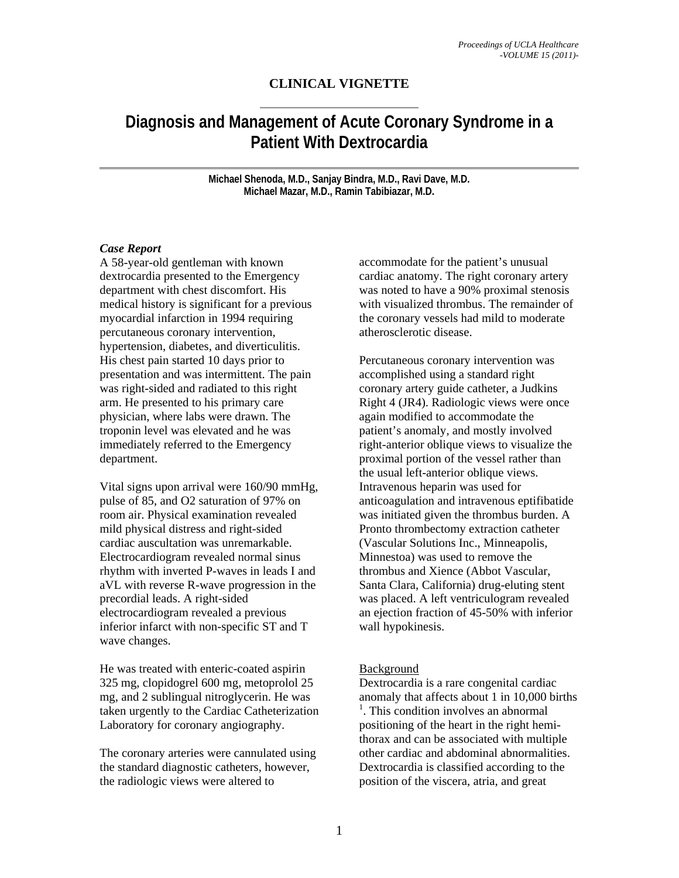# **CLINICAL VIGNETTE**

# **Diagnosis and Management of Acute Coronary Syndrome in a Patient With Dextrocardia**

**Michael Shenoda, M.D., Sanjay Bindra, M.D., Ravi Dave, M.D. Michael Mazar, M.D., Ramin Tabibiazar, M.D.** 

#### *Case Report*

A 58-year-old gentleman with known dextrocardia presented to the Emergency department with chest discomfort. His medical history is significant for a previous myocardial infarction in 1994 requiring percutaneous coronary intervention, hypertension, diabetes, and diverticulitis. His chest pain started 10 days prior to presentation and was intermittent. The pain was right-sided and radiated to this right arm. He presented to his primary care physician, where labs were drawn. The troponin level was elevated and he was immediately referred to the Emergency department.

Vital signs upon arrival were 160/90 mmHg, pulse of 85, and O2 saturation of 97% on room air. Physical examination revealed mild physical distress and right-sided cardiac auscultation was unremarkable. Electrocardiogram revealed normal sinus rhythm with inverted P-waves in leads I and aVL with reverse R-wave progression in the precordial leads. A right-sided electrocardiogram revealed a previous inferior infarct with non-specific ST and T wave changes.

He was treated with enteric-coated aspirin 325 mg, clopidogrel 600 mg, metoprolol 25 mg, and 2 sublingual nitroglycerin. He was taken urgently to the Cardiac Catheterization Laboratory for coronary angiography.

The coronary arteries were cannulated using the standard diagnostic catheters, however, the radiologic views were altered to

accommodate for the patient's unusual cardiac anatomy. The right coronary artery was noted to have a 90% proximal stenosis with visualized thrombus. The remainder of the coronary vessels had mild to moderate atherosclerotic disease.

Percutaneous coronary intervention was accomplished using a standard right coronary artery guide catheter, a Judkins Right 4 (JR4). Radiologic views were once again modified to accommodate the patient's anomaly, and mostly involved right-anterior oblique views to visualize the proximal portion of the vessel rather than the usual left-anterior oblique views. Intravenous heparin was used for anticoagulation and intravenous eptifibatide was initiated given the thrombus burden. A Pronto thrombectomy extraction catheter (Vascular Solutions Inc., Minneapolis, Minnestoa) was used to remove the thrombus and Xience (Abbot Vascular, Santa Clara, California) drug-eluting stent was placed. A left ventriculogram revealed an ejection fraction of 45-50% with inferior wall hypokinesis.

# Background

Dextrocardia is a rare congenital cardiac anomaly that affects about 1 in 10,000 births <sup>1</sup>. This condition involves an abnormal positioning of the heart in the right hemithorax and can be associated with multiple other cardiac and abdominal abnormalities. Dextrocardia is classified according to the position of the viscera, atria, and great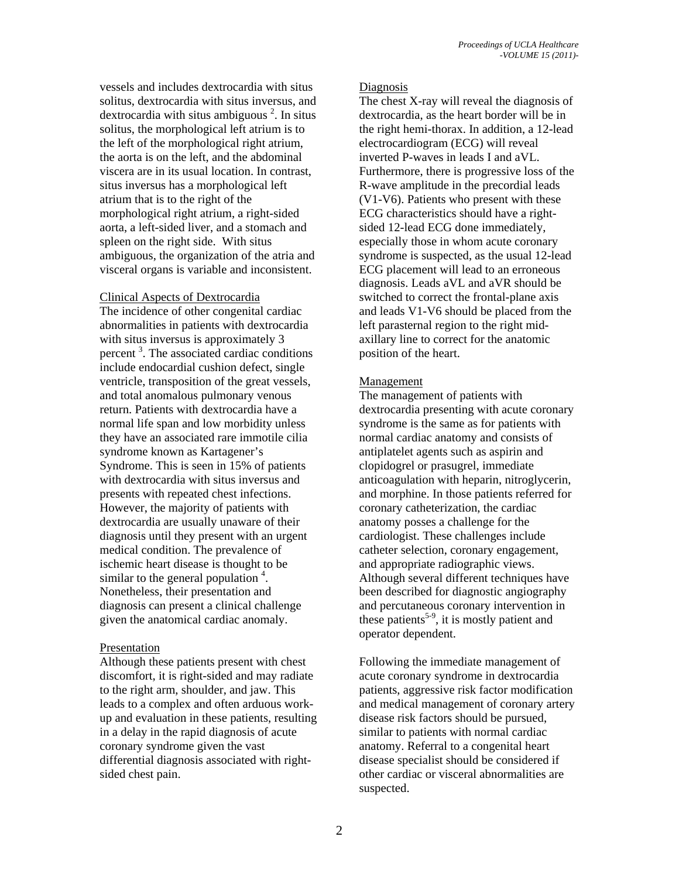vessels and includes dextrocardia with situs solitus, dextrocardia with situs inversus, and dextrocardia with situs ambiguous<sup>2</sup>. In situs solitus, the morphological left atrium is to the left of the morphological right atrium, the aorta is on the left, and the abdominal viscera are in its usual location. In contrast, situs inversus has a morphological left atrium that is to the right of the morphological right atrium, a right-sided aorta, a left-sided liver, and a stomach and spleen on the right side. With situs ambiguous, the organization of the atria and visceral organs is variable and inconsistent.

#### Clinical Aspects of Dextrocardia

The incidence of other congenital cardiac abnormalities in patients with dextrocardia with situs inversus is approximately 3 percent<sup>3</sup>. The associated cardiac conditions include endocardial cushion defect, single ventricle, transposition of the great vessels, and total anomalous pulmonary venous return. Patients with dextrocardia have a normal life span and low morbidity unless they have an associated rare immotile cilia syndrome known as Kartagener's Syndrome. This is seen in 15% of patients with dextrocardia with situs inversus and presents with repeated chest infections. However, the majority of patients with dextrocardia are usually unaware of their diagnosis until they present with an urgent medical condition. The prevalence of ischemic heart disease is thought to be similar to the general population  $4$ . Nonetheless, their presentation and diagnosis can present a clinical challenge given the anatomical cardiac anomaly.

# Presentation

Although these patients present with chest discomfort, it is right-sided and may radiate to the right arm, shoulder, and jaw. This leads to a complex and often arduous workup and evaluation in these patients, resulting in a delay in the rapid diagnosis of acute coronary syndrome given the vast differential diagnosis associated with rightsided chest pain.

#### Diagnosis

The chest X-ray will reveal the diagnosis of dextrocardia, as the heart border will be in the right hemi-thorax. In addition, a 12-lead electrocardiogram (ECG) will reveal inverted P-waves in leads I and aVL. Furthermore, there is progressive loss of the R-wave amplitude in the precordial leads (V1-V6). Patients who present with these ECG characteristics should have a rightsided 12-lead ECG done immediately, especially those in whom acute coronary syndrome is suspected, as the usual 12-lead ECG placement will lead to an erroneous diagnosis. Leads aVL and aVR should be switched to correct the frontal-plane axis and leads V1-V6 should be placed from the left parasternal region to the right midaxillary line to correct for the anatomic position of the heart.

# Management

The management of patients with dextrocardia presenting with acute coronary syndrome is the same as for patients with normal cardiac anatomy and consists of antiplatelet agents such as aspirin and clopidogrel or prasugrel, immediate anticoagulation with heparin, nitroglycerin, and morphine. In those patients referred for coronary catheterization, the cardiac anatomy posses a challenge for the cardiologist. These challenges include catheter selection, coronary engagement, and appropriate radiographic views. Although several different techniques have been described for diagnostic angiography and percutaneous coronary intervention in these patients<sup>5-9</sup>, it is mostly patient and operator dependent.

Following the immediate management of acute coronary syndrome in dextrocardia patients, aggressive risk factor modification and medical management of coronary artery disease risk factors should be pursued, similar to patients with normal cardiac anatomy. Referral to a congenital heart disease specialist should be considered if other cardiac or visceral abnormalities are suspected.